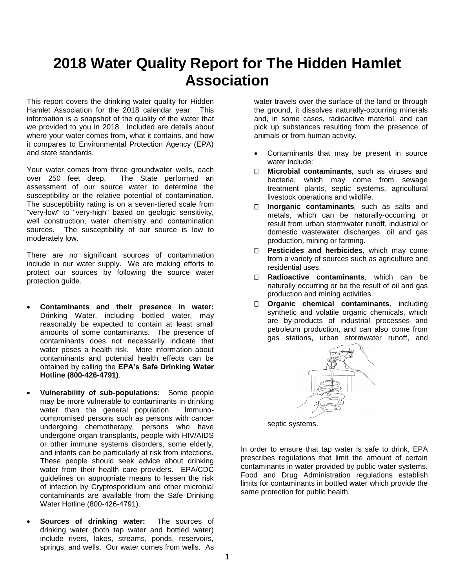## **2018 Water Quality Report for The Hidden Hamlet Association**

This report covers the drinking water quality for Hidden Hamlet Association for the 2018 calendar year. This information is a snapshot of the quality of the water that we provided to you in 2018. Included are details about where your water comes from, what it contains, and how it compares to Environmental Protection Agency (EPA) and state standards.

Your water comes from three groundwater wells, each over 250 feet deep. The State performed an assessment of our source water to determine the susceptibility or the relative potential of contamination. The susceptibility rating is on a seven-tiered scale from "very-low" to "very-high" based on geologic sensitivity, well construction, water chemistry and contamination sources. The susceptibility of our source is low to moderately low.

There are no significant sources of contamination include in our water supply. We are making efforts to protect our sources by following the source water protection guide.

- **Contaminants and their presence in water:**  Drinking Water, including bottled water, may reasonably be expected to contain at least small amounts of some contaminants. The presence of contaminants does not necessarily indicate that water poses a health risk. More information about contaminants and potential health effects can be obtained by calling the **EPA's Safe Drinking Water Hotline (800-426-4791)**.
- **Vulnerability of sub-populations:** Some people may be more vulnerable to contaminants in drinking water than the general population. Immunocompromised persons such as persons with cancer undergoing chemotherapy, persons who have undergone organ transplants, people with HIV/AIDS or other immune systems disorders, some elderly, and infants can be particularly at risk from infections. These people should seek advice about drinking water from their health care providers. EPA/CDC guidelines on appropriate means to lessen the risk of infection by Cryptosporidium and other microbial contaminants are available from the Safe Drinking Water Hotline (800-426-4791).
- **Sources of drinking water:** The sources of drinking water (both tap water and bottled water) include rivers, lakes, streams, ponds, reservoirs, springs, and wells. Our water comes from wells. As

water travels over the surface of the land or through the ground, it dissolves naturally-occurring minerals and, in some cases, radioactive material, and can pick up substances resulting from the presence of animals or from human activity.

- Contaminants that may be present in source water include:
- $\Box$ **Microbial contaminants***,* such as viruses and bacteria, which may come from sewage treatment plants, septic systems, agricultural livestock operations and wildlife.
- **Inorganic contaminants***,* such as salts and П. metals, which can be naturally-occurring or result from urban stormwater runoff, industrial or domestic wastewater discharges, oil and gas production, mining or farming.
- **Pesticides and herbicides***,* which may come from a variety of sources such as agriculture and residential uses.
- $\Box$ **Radioactive contaminants***,* which can be naturally occurring or be the result of oil and gas production and mining activities.
- **Organic chemical contaminants***,* including synthetic and volatile organic chemicals, which are by-products of industrial processes and petroleum production, and can also come from gas stations, urban stormwater runoff, and



septic systems.

In order to ensure that tap water is safe to drink, EPA prescribes regulations that limit the amount of certain contaminants in water provided by public water systems. Food and Drug Administration regulations establish limits for contaminants in bottled water which provide the same protection for public health.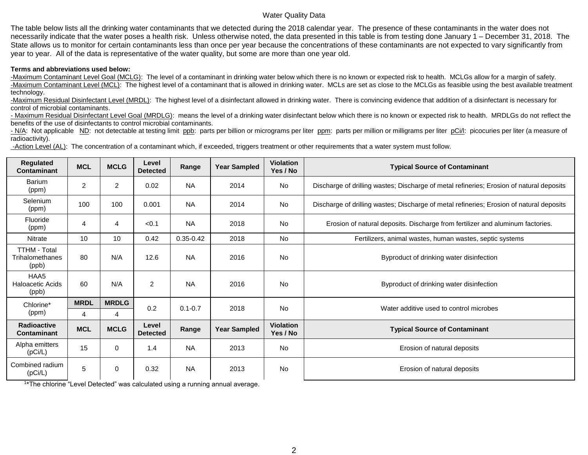## Water Quality Data

The table below lists all the drinking water contaminants that we detected during the 2018 calendar year. The presence of these contaminants in the water does not necessarily indicate that the water poses a health risk. Unless otherwise noted, the data presented in this table is from testing done January 1 – December 31, 2018. The State allows us to monitor for certain contaminants less than once per year because the concentrations of these contaminants are not expected to vary significantly from year to year. All of the data is representative of the water quality, but some are more than one year old.

## **Terms and abbreviations used below:**

-Maximum Contaminant Level Goal (MCLG): The level of a contaminant in drinking water below which there is no known or expected risk to health. MCLGs allow for a margin of safety. -Maximum Contaminant Level (MCL): The highest level of a contaminant that is allowed in drinking water. MCLs are set as close to the MCLGs as feasible using the best available treatment technology.

-Maximum Residual Disinfectant Level (MRDL): The highest level of a disinfectant allowed in drinking water. There is convincing evidence that addition of a disinfectant is necessary for control of microbial contaminants.

- Maximum Residual Disinfectant Level Goal (MRDLG): means the level of a drinking water disinfectant below which there is no known or expected risk to health. MRDLGs do not reflect the benefits of the use of disinfectants to control microbial contaminants.

- N/A: Not applicable ND: not detectable at testing limit ppb: parts per billion or micrograms per liter ppm: parts per million or milligrams per liter pCi/l: picocuries per liter (a measure of radioactivity).

-Action Level (AL): The concentration of a contaminant which, if exceeded, triggers treatment or other requirements that a water system must follow.

| Regulated<br><b>Contaminant</b>                 | <b>MCL</b>     | <b>MCLG</b>    | Level<br><b>Detected</b> | Range         | <b>Year Sampled</b> | <b>Violation</b><br>Yes / No | <b>Typical Source of Contaminant</b>                                                     |  |  |
|-------------------------------------------------|----------------|----------------|--------------------------|---------------|---------------------|------------------------------|------------------------------------------------------------------------------------------|--|--|
| <b>Barium</b><br>(ppm)                          | $\overline{c}$ | 2              | 0.02                     | <b>NA</b>     | 2014                | <b>No</b>                    | Discharge of drilling wastes; Discharge of metal refineries; Erosion of natural deposits |  |  |
| <b>Selenium</b><br>(ppm)                        | 100            | 100            | 0.001                    | <b>NA</b>     | 2014                | No                           | Discharge of drilling wastes; Discharge of metal refineries; Erosion of natural deposits |  |  |
| Fluoride<br>(ppm)                               | 4              | $\overline{4}$ | < 0.1                    | <b>NA</b>     | 2018                | No.                          | Erosion of natural deposits. Discharge from fertilizer and aluminum factories.           |  |  |
| Nitrate                                         | 10             | 10             | 0.42                     | $0.35 - 0.42$ | 2018                | No                           | Fertilizers, animal wastes, human wastes, septic systems                                 |  |  |
| <b>TTHM - Total</b><br>Trihalomethanes<br>(ppb) | 80             | N/A            | 12.6                     | <b>NA</b>     | 2016                | <b>No</b>                    | Byproduct of drinking water disinfection                                                 |  |  |
| HAA5<br><b>Haloacetic Acids</b><br>(ppb)        | 60             | N/A            | 2                        | <b>NA</b>     | <b>No</b><br>2016   |                              | Byproduct of drinking water disinfection                                                 |  |  |
| Chlorine*<br>(ppm)                              | <b>MRDL</b>    | <b>MRDLG</b>   | 0.2                      | $0.1 - 0.7$   | 2018                | <b>No</b>                    | Water additive used to control microbes                                                  |  |  |
|                                                 | 4              | 4              |                          |               |                     |                              |                                                                                          |  |  |
| <b>Radioactive</b><br><b>Contaminant</b>        | <b>MCL</b>     | <b>MCLG</b>    | Level<br><b>Detected</b> | Range         | <b>Year Sampled</b> | <b>Violation</b><br>Yes / No | <b>Typical Source of Contaminant</b>                                                     |  |  |
| Alpha emitters<br>(pCi/L)                       | 15             | 0              | 1.4                      | <b>NA</b>     | 2013                | No                           | Erosion of natural deposits                                                              |  |  |
| Combined radium<br>(pCi/L)                      | 5              | 0              | 0.32                     | <b>NA</b>     | 2013                | <b>No</b>                    | Erosion of natural deposits                                                              |  |  |

<sup>1\*</sup>The chlorine "Level Detected" was calculated using a running annual average.